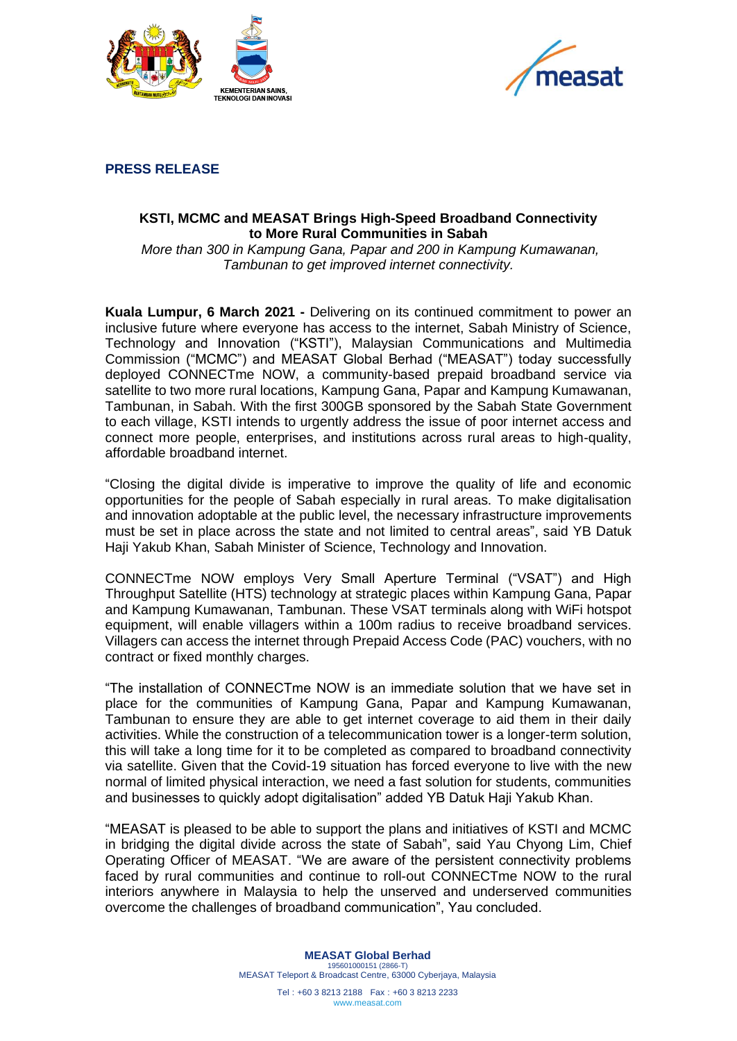



**PRESS RELEASE**

## **KSTI, MCMC and MEASAT Brings High-Speed Broadband Connectivity to More Rural Communities in Sabah**

*More than 300 in Kampung Gana, Papar and 200 in Kampung Kumawanan, Tambunan to get improved internet connectivity.*

**Kuala Lumpur, 6 March 2021 -** Delivering on its continued commitment to power an inclusive future where everyone has access to the internet, Sabah Ministry of Science, Technology and Innovation ("KSTI"), Malaysian Communications and Multimedia Commission ("MCMC") and MEASAT Global Berhad ("MEASAT") today successfully deployed CONNECTme NOW, a community-based prepaid broadband service via satellite to two more rural locations, Kampung Gana, Papar and Kampung Kumawanan, Tambunan, in Sabah. With the first 300GB sponsored by the Sabah State Government to each village, KSTI intends to urgently address the issue of poor internet access and connect more people, enterprises, and institutions across rural areas to high-quality, affordable broadband internet.

"Closing the digital divide is imperative to improve the quality of life and economic opportunities for the people of Sabah especially in rural areas. To make digitalisation and innovation adoptable at the public level, the necessary infrastructure improvements must be set in place across the state and not limited to central areas", said YB Datuk Haji Yakub Khan, Sabah Minister of Science, Technology and Innovation.

CONNECTme NOW employs Very Small Aperture Terminal ("VSAT") and High Throughput Satellite (HTS) technology at strategic places within Kampung Gana, Papar and Kampung Kumawanan, Tambunan. These VSAT terminals along with WiFi hotspot equipment, will enable villagers within a 100m radius to receive broadband services. Villagers can access the internet through Prepaid Access Code (PAC) vouchers, with no contract or fixed monthly charges.

"The installation of CONNECTme NOW is an immediate solution that we have set in place for the communities of Kampung Gana, Papar and Kampung Kumawanan, Tambunan to ensure they are able to get internet coverage to aid them in their daily activities. While the construction of a telecommunication tower is a longer-term solution, this will take a long time for it to be completed as compared to broadband connectivity via satellite. Given that the Covid-19 situation has forced everyone to live with the new normal of limited physical interaction, we need a fast solution for students, communities and businesses to quickly adopt digitalisation" added YB Datuk Haji Yakub Khan.

"MEASAT is pleased to be able to support the plans and initiatives of KSTI and MCMC in bridging the digital divide across the state of Sabah", said Yau Chyong Lim, Chief Operating Officer of MEASAT. "We are aware of the persistent connectivity problems faced by rural communities and continue to roll-out CONNECTme NOW to the rural interiors anywhere in Malaysia to help the unserved and underserved communities overcome the challenges of broadband communication", Yau concluded.